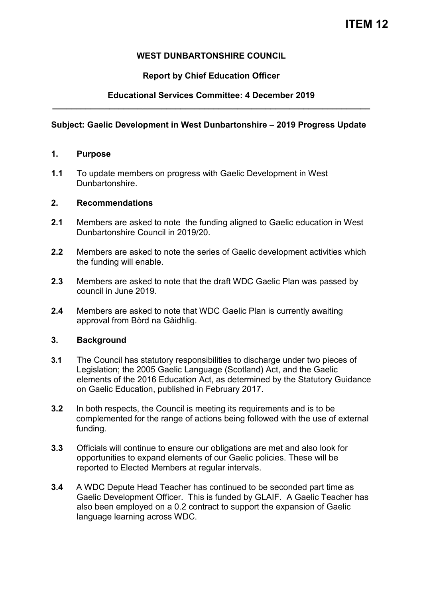# **ITEM 12**

## **WEST DUNBARTONSHIRE COUNCIL**

## **Report by Chief Education Officer**

## **Educational Services Committee: 4 December 2019 \_\_\_\_\_\_\_\_\_\_\_\_\_\_\_\_\_\_\_\_\_\_\_\_\_\_\_\_\_\_\_\_\_\_\_\_\_\_\_\_\_\_\_\_\_\_\_\_\_\_\_\_\_\_\_\_\_\_\_\_\_\_\_\_\_\_\_**

### **Subject: Gaelic Development in West Dunbartonshire – 2019 Progress Update**

#### **1. Purpose**

**1.1** To update members on progress with Gaelic Development in West Dunbartonshire.

#### **2. Recommendations**

- **2.1** Members are asked to note the funding aligned to Gaelic education in West Dunbartonshire Council in 2019/20.
- **2.2** Members are asked to note the series of Gaelic development activities which the funding will enable.
- **2.3** Members are asked to note that the draft WDC Gaelic Plan was passed by council in June 2019.
- **2.4** Members are asked to note that WDC Gaelic Plan is currently awaiting approval from Bòrd na Gàidhlig.

### **3. Background**

- **3.1** The Council has statutory responsibilities to discharge under two pieces of Legislation; the 2005 Gaelic Language (Scotland) Act, and the Gaelic elements of the 2016 Education Act, as determined by the Statutory Guidance on Gaelic Education, published in February 2017.
- **3.2** In both respects, the Council is meeting its requirements and is to be complemented for the range of actions being followed with the use of external funding.
- **3.3** Officials will continue to ensure our obligations are met and also look for opportunities to expand elements of our Gaelic policies. These will be reported to Elected Members at regular intervals.
- **3.4** A WDC Depute Head Teacher has continued to be seconded part time as Gaelic Development Officer. This is funded by GLAIF. A Gaelic Teacher has also been employed on a 0.2 contract to support the expansion of Gaelic language learning across WDC.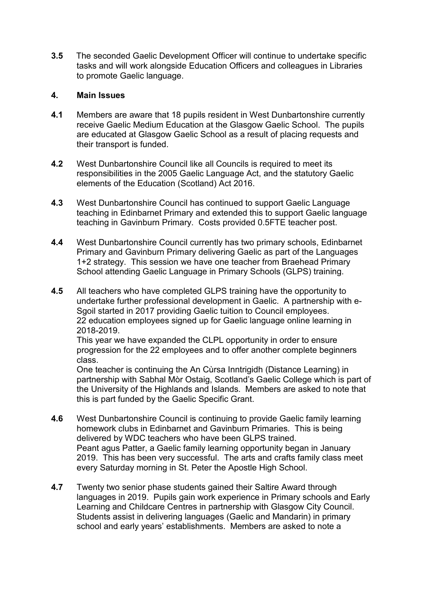**3.5** The seconded Gaelic Development Officer will continue to undertake specific tasks and will work alongside Education Officers and colleagues in Libraries to promote Gaelic language.

### **4. Main Issues**

- **4.1** Members are aware that 18 pupils resident in West Dunbartonshire currently receive Gaelic Medium Education at the Glasgow Gaelic School. The pupils are educated at Glasgow Gaelic School as a result of placing requests and their transport is funded.
- **4.2** West Dunbartonshire Council like all Councils is required to meet its responsibilities in the 2005 Gaelic Language Act, and the statutory Gaelic elements of the Education (Scotland) Act 2016.
- **4.3** West Dunbartonshire Council has continued to support Gaelic Language teaching in Edinbarnet Primary and extended this to support Gaelic language teaching in Gavinburn Primary. Costs provided 0.5FTE teacher post.
- **4.4** West Dunbartonshire Council currently has two primary schools, Edinbarnet Primary and Gavinburn Primary delivering Gaelic as part of the Languages 1+2 strategy. This session we have one teacher from Braehead Primary School attending Gaelic Language in Primary Schools (GLPS) training.
- **4.5** All teachers who have completed GLPS training have the opportunity to undertake further professional development in Gaelic. A partnership with e-Sgoil started in 2017 providing Gaelic tuition to Council employees. 22 education employees signed up for Gaelic language online learning in 2018-2019.

This year we have expanded the CLPL opportunity in order to ensure progression for the 22 employees and to offer another complete beginners class.

One teacher is continuing the An Cùrsa Inntrigidh (Distance Learning) in partnership with Sabhal Mòr Ostaig, Scotland's Gaelic College which is part of the University of the Highlands and Islands. Members are asked to note that this is part funded by the Gaelic Specific Grant.

- **4.6** West Dunbartonshire Council is continuing to provide Gaelic family learning homework clubs in Edinbarnet and Gavinburn Primaries. This is being delivered by WDC teachers who have been GLPS trained. Peant agus Patter, a Gaelic family learning opportunity began in January 2019. This has been very successful. The arts and crafts family class meet every Saturday morning in St. Peter the Apostle High School.
- **4.7** Twenty two senior phase students gained their Saltire Award through languages in 2019. Pupils gain work experience in Primary schools and Early Learning and Childcare Centres in partnership with Glasgow City Council. Students assist in delivering languages (Gaelic and Mandarin) in primary school and early years' establishments. Members are asked to note a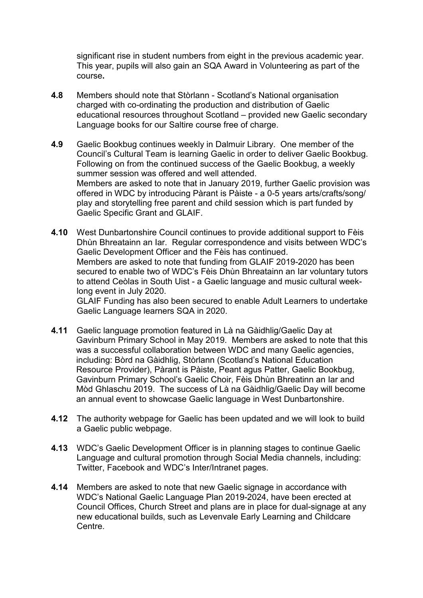significant rise in student numbers from eight in the previous academic year. This year, pupils will also gain an SQA Award in Volunteering as part of the course**.** 

- **4.8** Members should note that Stòrlann Scotland's National organisation charged with co-ordinating the production and distribution of Gaelic educational resources throughout Scotland – provided new Gaelic secondary Language books for our Saltire course free of charge.
- **4.9** Gaelic Bookbug continues weekly in Dalmuir Library. One member of the Council's Cultural Team is learning Gaelic in order to deliver Gaelic Bookbug. Following on from the continued success of the Gaelic Bookbug, a weekly summer session was offered and well attended. Members are asked to note that in January 2019, further Gaelic provision was offered in WDC by introducing Pàrant is Pàiste - a 0-5 years arts/crafts/song/ play and storytelling free parent and child session which is part funded by Gaelic Specific Grant and GLAIF.
- **4.10** West Dunbartonshire Council continues to provide additional support to Fèis Dhùn Bhreatainn an Iar. Regular correspondence and visits between WDC's Gaelic Development Officer and the Fèis has continued. Members are asked to note that funding from GLAIF 2019-2020 has been secured to enable two of WDC's Fèis Dhùn Bhreatainn an Iar voluntary tutors to attend Ceòlas in South Uist - a Gaelic language and music cultural weeklong event in July 2020.

GLAIF Funding has also been secured to enable Adult Learners to undertake Gaelic Language learners SQA in 2020.

- **4.11** Gaelic language promotion featured in Là na Gàidhlig/Gaelic Day at Gavinburn Primary School in May 2019. Members are asked to note that this was a successful collaboration between WDC and many Gaelic agencies, including: Bòrd na Gàidhlig, Stòrlann (Scotland's National Education Resource Provider), Pàrant is Pàiste, Peant agus Patter, Gaelic Bookbug, Gavinburn Primary School's Gaelic Choir, Fèis Dhùn Bhreatinn an Iar and Mòd Ghlaschu 2019. The success of Là na Gàidhlig/Gaelic Day will become an annual event to showcase Gaelic language in West Dunbartonshire.
- **4.12** The authority webpage for Gaelic has been updated and we will look to build a Gaelic public webpage.
- **4.13** WDC's Gaelic Development Officer is in planning stages to continue Gaelic Language and cultural promotion through Social Media channels, including: Twitter, Facebook and WDC's Inter/Intranet pages.
- **4.14** Members are asked to note that new Gaelic signage in accordance with WDC's National Gaelic Language Plan 2019-2024, have been erected at Council Offices, Church Street and plans are in place for dual-signage at any new educational builds, such as Levenvale Early Learning and Childcare Centre.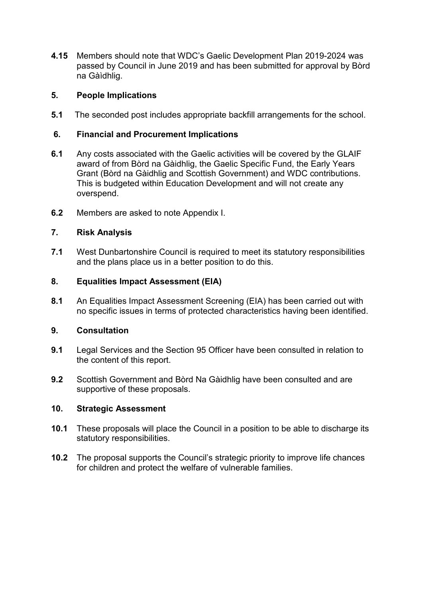**4.15** Members should note that WDC's Gaelic Development Plan 2019-2024 was passed by Council in June 2019 and has been submitted for approval by Bòrd na Gàìdhlig.

## **5. People Implications**

**5.1** The seconded post includes appropriate backfill arrangements for the school.

## **6. Financial and Procurement Implications**

- **6.1** Any costs associated with the Gaelic activities will be covered by the GLAIF award of from Bòrd na Gàidhlig, the Gaelic Specific Fund, the Early Years Grant (Bòrd na Gàidhlig and Scottish Government) and WDC contributions. This is budgeted within Education Development and will not create any overspend.
- **6.2** Members are asked to note Appendix I.

## **7. Risk Analysis**

**7.1** West Dunbartonshire Council is required to meet its statutory responsibilities and the plans place us in a better position to do this.

### **8. Equalities Impact Assessment (EIA)**

**8.1** An Equalities Impact Assessment Screening (EIA) has been carried out with no specific issues in terms of protected characteristics having been identified.

### **9. Consultation**

- **9.1** Legal Services and the Section 95 Officer have been consulted in relation to the content of this report.
- **9.2** Scottish Government and Bòrd Na Gàidhlig have been consulted and are supportive of these proposals.

### **10. Strategic Assessment**

- **10.1** These proposals will place the Council in a position to be able to discharge its statutory responsibilities.
- **10.2** The proposal supports the Council's strategic priority to improve life chances for children and protect the welfare of vulnerable families.